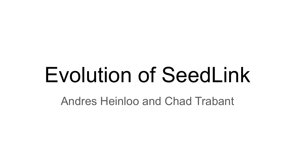# Evolution of SeedLink

Andres Heinloo and Chad Trabant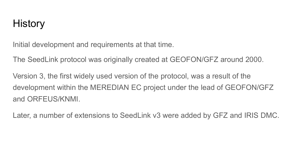### History

Initial development and requirements at that time.

The SeedLink protocol was originally created at GEOFON/GFZ around 2000.

Version 3, the first widely used version of the protocol, was a result of the development within the MEREDIAN EC project under the lead of GEOFON/GFZ and ORFEUS/KNMI.

Later, a number of extensions to SeedLink v3 were added by GFZ and IRIS DMC.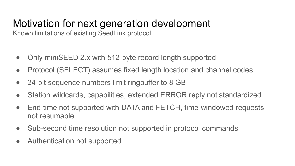## Motivation for next generation development

Known limitations of existing SeedLink protocol

- Only miniSEED 2.x with 512-byte record length supported
- Protocol (SELECT) assumes fixed length location and channel codes
- 24-bit sequence numbers limit ringbuffer to 8 GB
- Station wildcards, capabilities, extended ERROR reply not standardized
- End-time not supported with DATA and FETCH, time-windowed requests not resumable
- Sub-second time resolution not supported in protocol commands
- Authentication not supported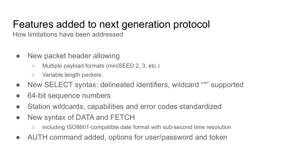## Features added to next generation protocol

How limitations have been addressed

- New packet header allowing
	- Multiple payload formats (miniSEED 2, 3, etc.)
	- Variable length packets
- New SELECT syntax: delineated identifiers, wildcard "\*" supported
- 64-bit sequence numbers
- Station wildcards, capabilities and error codes standardized
- New syntax of DATA and FETCH
	- including ISO8601-compatible date format with sub-second time resolution
- AUTH command added, options for user/password and token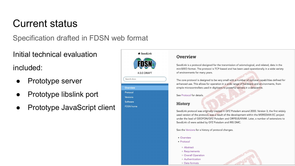### Current status

Specification drafted in FDSN web format

Initial technical evaluation

included:

- Prototype server
- **Prototype libslink port**
- Prototype JavaScript client



#### **Overview**

SeedLink is a protocol designed for the transmission of seismological, and related, data in the miniSEED format. The protocol is TCP-based and has been used operationally in a wide variety of environments for many years.

The core protocol is designed to be very small with a number of optional capabilities defined for enhanced use. This allows for operation in a wide range of hardware and environments, from simple microcontrollers used in digitizers to powerful servers in a datacentre.

#### See Protocol for details.

#### **History**

SeedLink protocol was originally created in GFZ Potsdam around 2000. Version 3, the first widely used version of the protocol, was a result of the development within the MEREDIAN EC project under the lead of GEOFON/GFZ Potsdam and ORFEUS/KNMI. Later, a number of extensions to SeedLink v3 were added by GFZ Potsdam and IRIS DMC.

See the Versions for a history of protocol changes.

- Overview
- Protocol
	- o Abstract
	- o Requirements
- o Overall Operation
- o Authentication
- · Data formats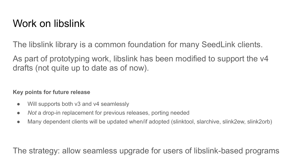### Work on libslink

The libslink library is a common foundation for many SeedLink clients.

As part of prototyping work, libslink has been modified to support the v4 drafts (not quite up to date as of now).

### **Key points for future release**

- Will supports both v3 and v4 seamlessly
- *Not* a drop-in replacement for previous releases, porting needed
- Many dependent clients will be updated when/if adopted (slinktool, slarchive, slink2ew, slink2orb)

The strategy: allow seamless upgrade for users of libslink-based programs